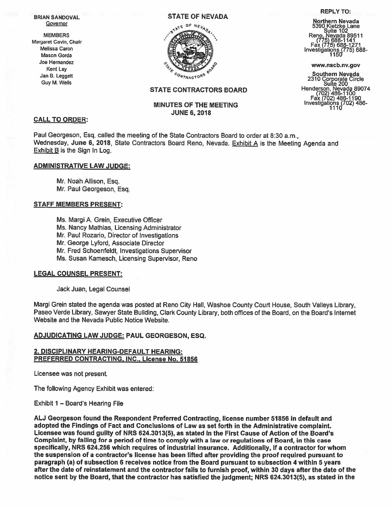

# STATE CONTRACTORS BOARD

# **MINUTES OF THE MEETING** JUNE 6,2018

## CALL TO ORDER:

Paul Georgeson, Esq. called the meeting of the State Contractors Board to order at 8:30 a.m., Wednesday, June 6, 2018, State Contractors Board Reno, Nevada. Exhibit <sup>A</sup> is the Meeting Agenda and Exhibit <sup>B</sup> is the Sign In Log.

## ADMINISTRATIVE LAW JUDGE:

Mr. Noah Allison, Esq. Mr, Paul Georgeson, Esq.

#### STAFF MEMBERS PRESENT:

Ms. Margi A. Grein, Executive Officer Ms. Nancy Mathias, Licensing Administrator Mr. Paul Rozario, Director of Investigations Mr. George Lyford, Associate Director Mr. Fred Schoenfeldt, Investigations Supervisor Ms. Susan Kamesch, Licensing Supervisor, Reno

#### LEGAL COUNSEL PRESENT:

Jack Juan, Legal Counsel

Margi Grein stated the agenda was posted at Reno City Hall, Washoe County Court House, South Valleys Library, Paseo Verde Library, Sawyer State Building. Clark County Library, both offices of the Board, on the Board's Internet Website and the Nevada Public Notice Website.

# ADJUDICATING LAW JUDGE: PAUL GEORGESON, ESQ.

## 2. DISCIPLINARY HEARING-DEFAULT HEARING: PREFERRED CONTRACTING. INC.. License No. 51856

Licensee was not present.

The following Agency Exhibit was entered:

#### Exhibit 1 – Board's Hearing File

AU Georgeson found the Respondent Preferred Contracting, license number 51856 in default and adopted the Findings of Fact and Conclusions of Law as set forth in the Administrative complaint. Licensee was found guilty of NRS 624.3013(5), as stated in the First Cause of Action of the Board's Complaint, by failing for <sup>a</sup> period of time to comply with <sup>a</sup> law or regulations of Board, in this case specifically, NRS 624.256 which requires of industrial insurance. Additionally, if <sup>a</sup> contractor for whom the suspension of <sup>a</sup> contractor's license has been lifted after providing the proof required pursuan<sup>t</sup> to paragraph (a) of subsection 6 receives notice from the Board pursuan<sup>t</sup> to subsection 4 within 5 years after the date of reinstatement and the contractor fails to furnish proof, within 30 days after the date of the notice sent by the Board, that the contractor has satisfied the judgment; NRS 624.3013(5), as stated in the

#### REPLY To:

BRIAN SANDOVAL STATE OF NEVADA<br>
STATE OF NEVADA Morthern Nevada<br>
Sovernor Covernor Care of Nev, Sand Care of Sand Kietzke Lane Suite 102 Melissa Caron Investigations (775) 688- Mason Gorda 1150

<sup>I</sup> <sup>I</sup> Southern Nevada an egge <sup>2310</sup> Corporate Circle Guy M. Wells Suite <sup>200</sup> Henderson, Nevada 89074 (702) 486-1100 Fax (702) 486-1190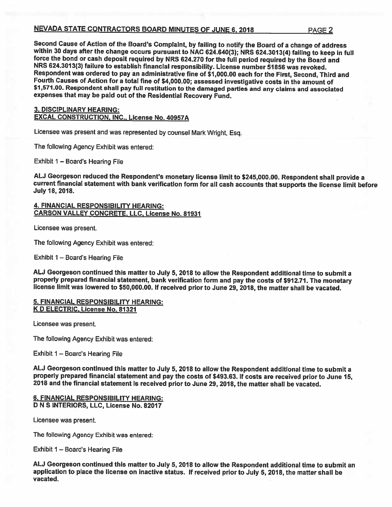# NEVADA STATE CONTRACTORS BOARD MINUTES OF JUNE 6, <sup>2018</sup> PAGE <sup>2</sup>

Second Cause of Action of the Board's Complaint, by failing to notify the Board of a change of address<br>within 30 days after the change occurs pursuant to NAC 624.640(3); NRS 624.3013(4) failing to keep in full<br>force the bo Fourth Causes of Action for a total fine of \$4,000.00; assessed investigative costs in the amount of<br>\$1,571.00. Respondent shall pay full restitution to the damaged parties and any claims and associated expenses that may be paid out of the Residential Recovery Fund.

# 3. DISCIPLINARY HEARING: EXCAL CONSTRUCTION, INC., License No. 40957A

Licensee was present and was represented by counsel Mark Wright, Esq.

The following Agency Exhibit was entered:

Exhibit <sup>1</sup> — Board's Hearing File

AU Georgeson reduced the Respondent's monetary license limit to \$245,000.00. Respondent shall provide <sup>a</sup> current financial statement with bank verification form for all cash accounts that supports the license limit before<br>July 18, 2018.

# 4. FINANCIAL RESPONSIBILITY HEARING: CARSON VALLEY CONCRETE, LLC, License No. 81931

Licensee was present.

The following Agency Exhibit was entered:

Exhibit 1 — Board's Hearing File

ALJ Georgeson continued this matter to July 5, 2018 to allow the Respondent additional time to submit a<br>properly prepared financial statement, bank verification form and pay the costs of \$912.71. The monetary license limit was lowered to \$50,000.00. If received prior to June 29, 2018, the matter shall be vacated.

## 5. FINANCIAL RESPONSIBILITY HEARING: K D ELECTRIC, License No. 81321

Licensee was present.

The following Agency Exhibit was entered:

Exhibit 1 — Board's Hearing File

AU Georgeson continued this matter to July 5, <sup>2018</sup> to allow the Respondent additional time to submit <sup>a</sup> properly prepared financial statement and pay the costs of \$493.63. If costs are received prior to June 15, <sup>2018</sup> and the financial statement is received prior to June 29, 2018, the matter shall be vacated.

#### 6. FINANCIAL RESPONSIBILITY HEARING: D N S INTERIORS, LLC, License No.82017

Licensee was present.

The following Agency Exhibit was entered:

Exhibit 1 — Board's Hearing File

AU Georgeson continued this matter to July 5, <sup>2018</sup> to allow the Respondent additional time to submit an application to <sup>p</sup>lace the license on inactive status. If received prior to July 5, 2018, the matter shall be vacated.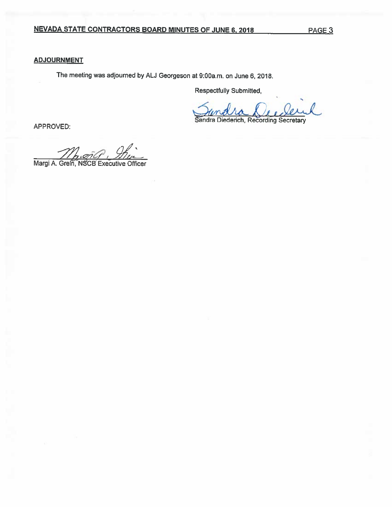# **ADJOURNMENT**

The meeting was adjourned by AU Georgeson at 9:00a.m. on June 6, 2018.

Respectfully Submitted,

p<br>
Sandra Diederich, Recording Secretary<br>
APPROVED:

Min

Margi A. Grein, NSCB Executive Officer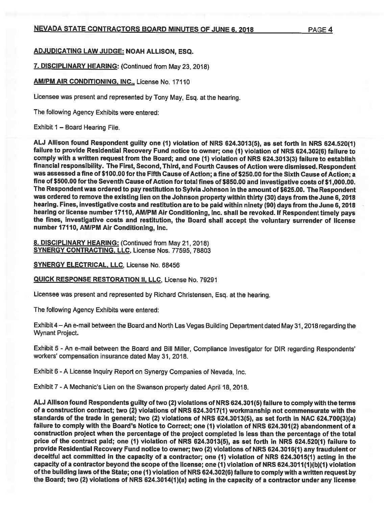# NEVADA STATE CONTRACTORS BOARD MINUTES OF JUNE 6, 2018 PAGE 4

# ADJUDICATING LAW JUDGE: NOAH ALLISON, ESQ.

7. DISCIPLINARY HEARING: (Continued from May 23, 2018)

AMIPM AIR CONDITIONING, INC., License No. 17110

Licensee was presen<sup>t</sup> and represented by Tony May, Esq. at the hearing.

The following Agency Exhibits were entered:

Exhibit 1 — Board Hearing File,

AU Allison found Respondent guilty one (1) violation of NRS 624.3013(5), as set forth in NRS 624.520(1) failure to provide Residential Recovery Fund notice to owner; one (1) violation of NRS 624.302(6) failure to comply with <sup>a</sup> written reques<sup>t</sup> from the Board; and one (1) violation of NRS 624.3013(3) failure to establish financial responsibility. The First, Second, Third, and Fourth Causes of Action were dismissed. Respondent was assessed <sup>a</sup> fine of \$100.00 for the Fifth Cause of Action; <sup>a</sup> fine of \$250.00 for the Sixth Cause of Action; <sup>a</sup> fine of \$500.00 for the Seventh Cause of Action fortotal fines of \$850.00 and investigative costs of \$1,000.00. The Respondent was ordered to pay restitution to Sylvia Johnson in the amount of \$625.00. The Respondent was ordered to remove the existing lien on the Johnson property within thirty (30) days from the June 6,2018 hearing. Fines, investigative costs and restitution are to be paid within ninety (90) days from the June 6, <sup>2018</sup> hearing or license number 17110, AMIPM Air Conditioning, Inc. shall be revoked. If Respondent timely pays the fines, investigative costs and restitution, the Board shall accep<sup>t</sup> the voluntary surrender of license number 17110, AMIPM Air Conditioning, Inc.

8. DISCIPLINARY HEARING: (Continued from May 21, 2018) SYNERGY CONTRACTING. LLC, License Nos. 77595, 78803

SYNERGY ELECTRICAL, LLC, License No. 68456

QUICK RESPONSE RESTORATION II, LLC, License No. 79291

Licensee was presen<sup>t</sup> and represented by Richard Christensen, Esq. at the hearing.

The following Agency Exhibits were entered:

Exhibit 4—An e-mail between the Board and North Las Vegas Building Department dated May 31, <sup>2018</sup> regarding the Wynant Project.

Exhibit <sup>5</sup> - An e-mail between the Board and Bill Miller, Compliance Investigator for DIR regarding Respondents' workers' compensation insurance dated May 31, 2018.

Exhibit 6- <sup>A</sup> License Inquiry Report on Synergy Companies of Nevada, Inc.

Exhibit 7-A Mechanic's Lien on the Swanson property dated April 18, 2018.

AU Allison found Respondents guilty of two (2) violations of NRS 624.301(5) failure to comply with the terms of <sup>a</sup> construction contract; two (2) violations of NRS 624.3017(1) workmanship not commensurate with the standards of the trade in general; two (2) violations of NRS 624.3013(5), as set forth in NAC 624.700(3)(a) failure to comply with the Board's Notice to Correct; one (1) violation of NRS 624.301(2) abandonment of <sup>a</sup> construction project when the percentage of the project completed is less than the percentage of the total price of the contract paid; one (1) violation of NRS 624.3013(5), as set forth in NRS 624.520(1) failure to provide Residential Recovery Fund notice to owner; two (2) violations of NRS 624.3016(1) any fraudulent or deceitful act committed in the capacity of <sup>a</sup> contractor; one (1) violation of NRS 624.3015(1) acting in the capacity of a contractor beyond the scope of the license; one (1) violation of NRS 624.3011(1)(b)(1) violation of the building laws of the State; one (1) violation of NRS 624.302(6) failure to comply with <sup>a</sup> written reques<sup>t</sup> by the Board; two (2) violations of NRS 624.3014(1)(a) acting in the capacity of <sup>a</sup> contractor under any license